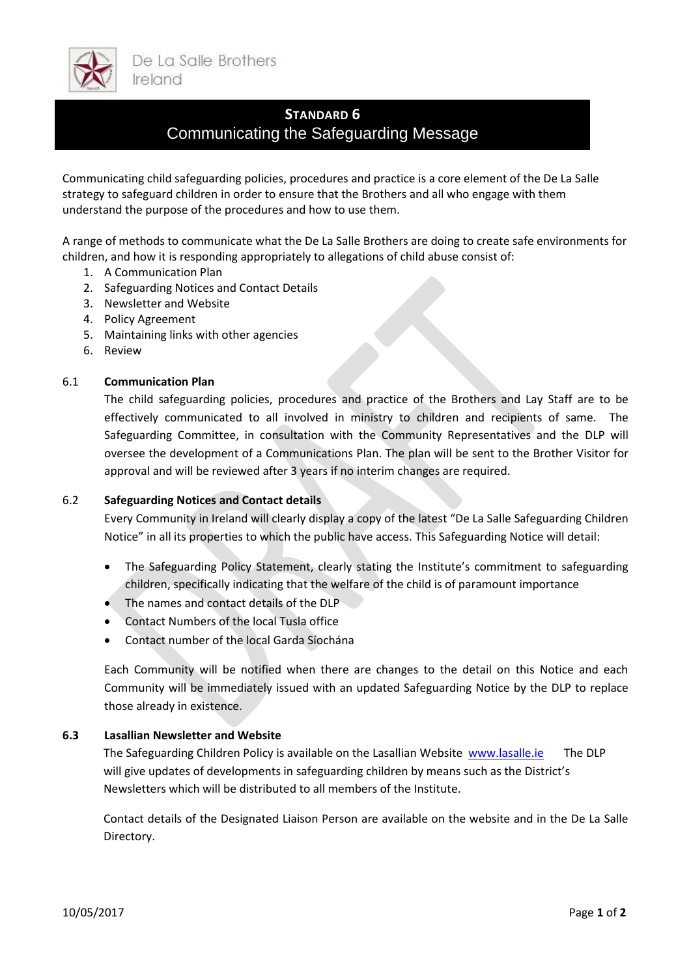

# **STANDARD 6**

# Communicating the Safeguarding Message

Communicating child safeguarding policies, procedures and practice is a core element of the De La Salle strategy to safeguard children in order to ensure that the Brothers and all who engage with them understand the purpose of the procedures and how to use them.

A range of methods to communicate what the De La Salle Brothers are doing to create safe environments for children, and how it is responding appropriately to allegations of child abuse consist of:

- 1. A Communication Plan
- 2. Safeguarding Notices and Contact Details
- 3. Newsletter and Website
- 4. Policy Agreement
- 5. Maintaining links with other agencies
- 6. Review

### 6.1 **Communication Plan**

The child safeguarding policies, procedures and practice of the Brothers and Lay Staff are to be effectively communicated to all involved in ministry to children and recipients of same. The Safeguarding Committee, in consultation with the Community Representatives and the DLP will oversee the development of a Communications Plan. The plan will be sent to the Brother Visitor for approval and will be reviewed after 3 years if no interim changes are required.

### 6.2 **Safeguarding Notices and Contact details**

Every Community in Ireland will clearly display a copy of the latest "De La Salle Safeguarding Children Notice" in all its properties to which the public have access. This Safeguarding Notice will detail:

- The Safeguarding Policy Statement, clearly stating the Institute's commitment to safeguarding children, specifically indicating that the welfare of the child is of paramount importance
- The names and contact details of the DLP
- Contact Numbers of the local Tusla office
- Contact number of the local Garda Síochána

Each Community will be notified when there are changes to the detail on this Notice and each Community will be immediately issued with an updated Safeguarding Notice by the DLP to replace those already in existence.

### **6.3 Lasallian Newsletter and Website**

The Safeguarding Children Policy is available on the Lasallian Website [www.lasalle.ie](http://www.lasalle.ie/) The DLP will give updates of developments in safeguarding children by means such as the District's Newsletters which will be distributed to all members of the Institute.

Contact details of the Designated Liaison Person are available on the website and in the De La Salle Directory.